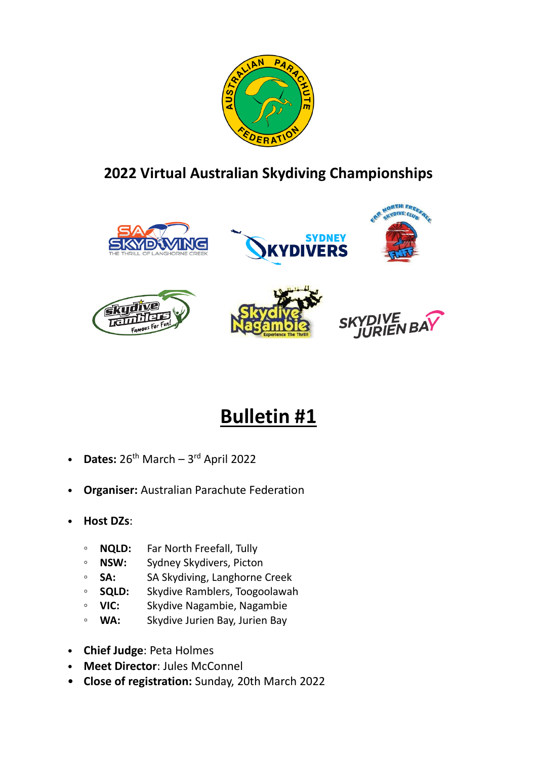

# **2022 Virtual Australian Skydiving Championships**













# **Bulletin #1**

- **Dates:**  $26^{th}$  March  $-3^{rd}$  April 2022
- **Organiser:** Australian Parachute Federation
- **Host DZs**:
	- **NQLD:** Far North Freefall, Tully
	- **NSW:** Sydney Skydivers, Picton
	- **SA:** SA Skydiving, Langhorne Creek
	- **SQLD:** Skydive Ramblers, Toogoolawah
	- **VIC:** Skydive Nagambie, Nagambie
	- **WA:** Skydive Jurien Bay, Jurien Bay
- **Chief Judge**: Peta Holmes
- **Meet Director**: Jules McConnel
- **Close of registration:** Sunday, 20th March 2022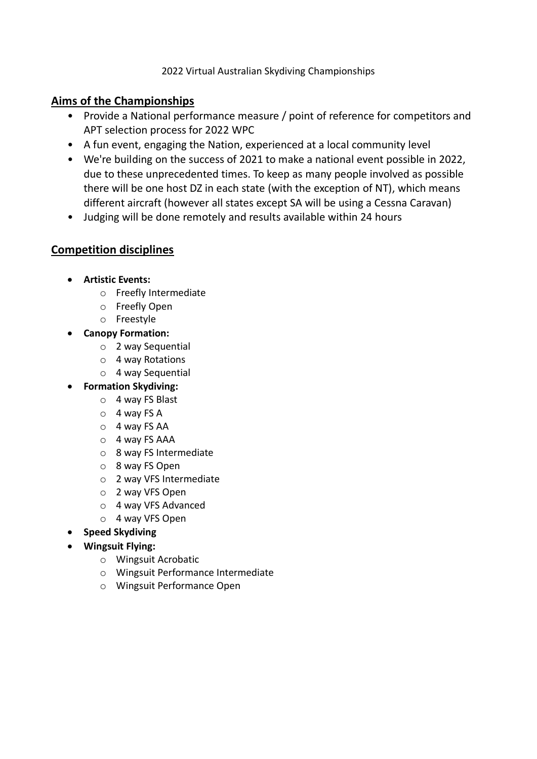#### **Aims of the Championships**

- Provide a National performance measure / point of reference for competitors and APT selection process for 2022 WPC
- A fun event, engaging the Nation, experienced at a local community level
- We're building on the success of 2021 to make a national event possible in 2022, due to these unprecedented times. To keep as many people involved as possible there will be one host DZ in each state (with the exception of NT), which means different aircraft (however all states except SA will be using a Cessna Caravan)
- Judging will be done remotely and results available within 24 hours

## **Competition disciplines**

- **Artistic Events:**
	- o Freefly Intermediate
	- o Freefly Open
	- o Freestyle
- **Canopy Formation:**
	- o 2 way Sequential
	- o 4 way Rotations
	- o 4 way Sequential
- **Formation Skydiving:**
	- o 4 way FS Blast
	- o 4 way FS A
	- o 4 way FS AA
	- o 4 way FS AAA
	- o 8 way FS Intermediate
	- o 8 way FS Open
	- o 2 way VFS Intermediate
	- o 2 way VFS Open
	- o 4 way VFS Advanced
	- o 4 way VFS Open
- **Speed Skydiving**
- **Wingsuit Flying:**
	- o Wingsuit Acrobatic
	- o Wingsuit Performance Intermediate
	- o Wingsuit Performance Open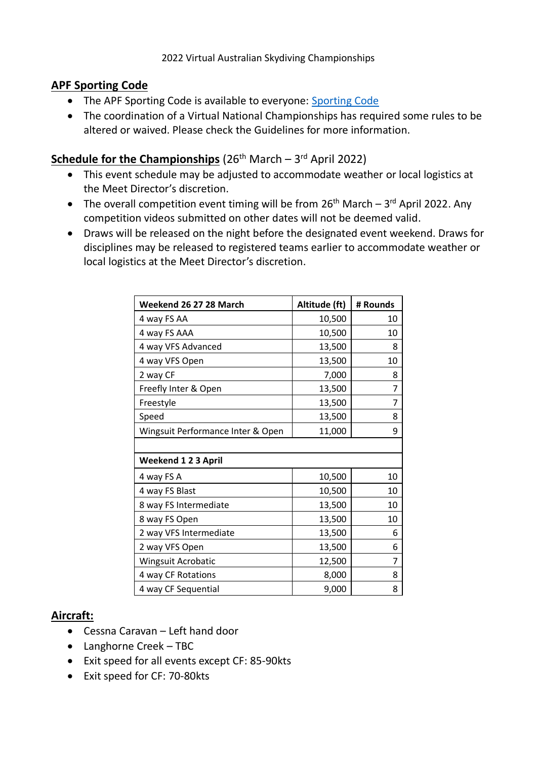#### **APF Sporting Code**

- The APF [Sporting Code](https://www.apf.com.au/Sports-Jumping/Competition/Sporting-Code/sporting-code) is available to everyone: Sporting Code
- The coordination of a Virtual National Championships has required some rules to be altered or waived. Please check the Guidelines for more information.

# **Schedule for the Championships** (26<sup>th</sup> March – 3<sup>rd</sup> April 2022)

- This event schedule may be adjusted to accommodate weather or local logistics at the Meet Director's discretion.
- The overall competition event timing will be from  $26<sup>th</sup>$  March  $3<sup>rd</sup>$  April 2022. Any competition videos submitted on other dates will not be deemed valid.
- Draws will be released on the night before the designated event weekend. Draws for disciplines may be released to registered teams earlier to accommodate weather or local logistics at the Meet Director's discretion.

| Weekend 26 27 28 March            | Altitude (ft) | # Rounds |
|-----------------------------------|---------------|----------|
| 4 way FS AA                       | 10,500        | 10       |
| 4 way FS AAA                      | 10,500        | 10       |
| 4 way VFS Advanced                | 13,500        | 8        |
| 4 way VFS Open                    | 13,500        | 10       |
| 2 way CF                          | 7,000         | 8        |
| Freefly Inter & Open              | 13,500        | 7        |
| Freestyle                         | 13,500        | 7        |
| Speed                             | 13,500        | 8        |
| Wingsuit Performance Inter & Open | 11,000        | 9        |
|                                   |               |          |
| <b>Weekend 123 April</b>          |               |          |
| 4 way FS A                        | 10,500        | 10       |
| 4 way FS Blast                    | 10,500        | 10       |
| 8 way FS Intermediate             | 13,500        | 10       |
| 8 way FS Open                     | 13,500        | 10       |
| 2 way VFS Intermediate            | 13,500        | 6        |
| 2 way VFS Open                    | 13,500        | 6        |
| Wingsuit Acrobatic                | 12,500        | 7        |
| 4 way CF Rotations                | 8,000         | 8        |
| 4 way CF Sequential               | 9,000         | 8        |

## **Aircraft:**

- Cessna Caravan Left hand door
- Langhorne Creek TBC
- Exit speed for all events except CF: 85-90kts
- Exit speed for CF: 70-80kts